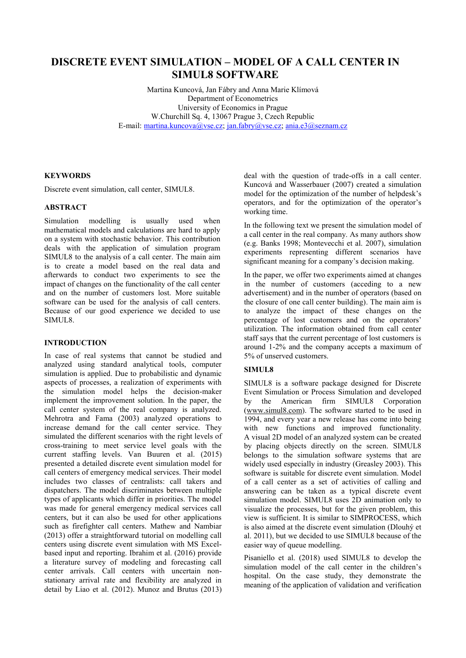# **DISCRETE EVENT SIMULATION – MODEL OF A CALL CENTER IN SIMUL8 SOFTWARE**

Martina Kuncová, Jan Fábry and Anna Marie Klímová Department of Econometrics University of Economics in Prague W.Churchill Sq. 4, 13067 Prague 3, Czech Republic E-mail: [martina.kuncova@vse.cz;](mailto:martina.kuncova@vse.cz) [jan.fabry@vse.cz;](mailto:jan.fabry@vse.cz) [ania.e3@seznam.cz](mailto:ania.e3@seznam.cz)

# **KEYWORDS**

Discrete event simulation, call center, SIMUL8.

## **ABSTRACT**

Simulation modelling is usually used when mathematical models and calculations are hard to apply on a system with stochastic behavior. This contribution deals with the application of simulation program SIMUL8 to the analysis of a call center. The main aim is to create a model based on the real data and afterwards to conduct two experiments to see the impact of changes on the functionality of the call center and on the number of customers lost. More suitable software can be used for the analysis of call centers. Because of our good experience we decided to use SIMUL8.

## **INTRODUCTION**

In case of real systems that cannot be studied and analyzed using standard analytical tools, computer simulation is applied. Due to probabilistic and dynamic aspects of processes, a realization of experiments with the simulation model helps the decision-maker implement the improvement solution. In the paper, the call center system of the real company is analyzed. Mehrotra and Fama (2003) analyzed operations to increase demand for the call center service. They simulated the different scenarios with the right levels of cross-training to meet service level goals with the current staffing levels. Van Buuren et al. (2015) presented a detailed discrete event simulation model for call centers of emergency medical services. Their model includes two classes of centralists: call takers and dispatchers. The model discriminates between multiple types of applicants which differ in priorities. The model was made for general emergency medical services call centers, but it can also be used for other applications such as firefighter call centers. Mathew and Nambiar (2013) offer a straightforward tutorial on modelling call centers using discrete event simulation with MS Excelbased input and reporting. Ibrahim et al. (2016) provide a literature survey of modeling and forecasting call center arrivals. Call centers with uncertain nonstationary arrival rate and flexibility are analyzed in detail by Liao et al. (2012). Munoz and Brutus (2013) deal with the question of trade-offs in a call center. Kuncová and Wasserbauer (2007) created a simulation model for the optimization of the number of helpdesk's operators, and for the optimization of the operator's working time.

In the following text we present the simulation model of a call center in the real company. As many authors show (e.g. Banks 1998; Montevecchi et al. 2007), simulation experiments representing different scenarios have significant meaning for a company's decision making.

In the paper, we offer two experiments aimed at changes in the number of customers (acceding to a new advertisement) and in the number of operators (based on the closure of one call center building). The main aim is to analyze the impact of these changes on the percentage of lost customers and on the operators' utilization. The information obtained from call center staff says that the current percentage of lost customers is around 1-2% and the company accepts a maximum of 5% of unserved customers.

## **SIMUL8**

SIMUL8 is a software package designed for Discrete Event Simulation or Process Simulation and developed by the American firm SIMUL8 Corporation [\(www.simul8.com\)](http://www.simul8.com/). The software started to be used in 1994, and every year a new release has come into being with new functions and improved functionality. A visual 2D model of an analyzed system can be created by placing objects directly on the screen. SIMUL8 belongs to the simulation software systems that are widely used especially in industry (Greasley 2003). This software is suitable for discrete event simulation. Model of a call center as a set of activities of calling and answering can be taken as a typical discrete event simulation model. SIMUL8 uses 2D animation only to visualize the processes, but for the given problem, this view is sufficient. It is similar to SIMPROCESS, which is also aimed at the discrete event simulation (Dlouhý et al. 2011), but we decided to use SIMUL8 because of the easier way of queue modelling.

Pisaniello et al. (2018) used SIMUL8 to develop the simulation model of the call center in the children's hospital. On the case study, they demonstrate the meaning of the application of validation and verification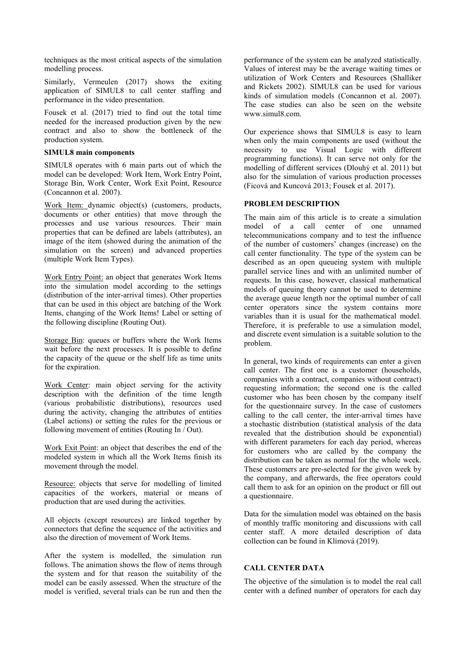techniques as the most critical aspects of the simulation modelling process.

Similarly, Vermeulen (2017) shows the exiting application of SIMUL8 to call center staffing and performance in the video presentation.

Fousek et al. (2017) tried to find out the total time needed for the increased production given by the new contract and also to show the bottleneck of the production system.

#### **SIMUL8 main components**

SIMUL8 operates with 6 main parts out of which the model can be developed: Work Item, Work Entry Point, Storage Bin, Work Center, Work Exit Point, Resource (Concannon et al. 2007).

Work Item: dynamic object(s) (customers, products, documents or other entities) that move through the processes and use various resources. Their main properties that can be defined are labels (attributes), an image of the item (showed during the animation of the simulation on the screen) and advanced properties (multiple Work Item Types).

Work Entry Point: an object that generates Work Items into the simulation model according to the settings (distribution of the inter-arrival times). Other properties that can be used in this object are batching of the Work Items, changing of the Work Items! Label or setting of the following discipline (Routing Out).

Storage Bin: queues or buffers where the Work Items wait before the next processes. It is possible to define the capacity of the queue or the shelf life as time units for the expiration.

Work Center: main object serving for the activity description with the definition of the time length (various probabilistic distributions), resources used during the activity, changing the attributes of entities (Label actions) or setting the rules for the previous or following movement of entities (Routing In / Out).

Work Exit Point: an object that describes the end of the modeled system in which all the Work Items finish its movement through the model.

Resource: objects that serve for modelling of limited capacities of the workers, material or means of production that are used during the activities.

All objects (except resources) are linked together by connectors that define the sequence of the activities and also the direction of movement of Work Items.

After the system is modelled, the simulation run follows. The animation shows the flow of items through the system and for that reason the suitability of the model can be easily assessed. When the structure of the model is verified, several trials can be run and then the performance of the system can be analyzed statistically. Values of interest may be the average waiting times or utilization of Work Centers and Resources (Shalliker and Rickets 2002). SIMUL8 can be used for various kinds of simulation models (Concannon et al. 2007). The case studies can also be seen on the website www.simul8.com.

Our experience shows that SIMUL8 is easy to learn when only the main components are used (without the necessity to use Visual Logic with different programming functions). It can serve not only for the modelling of different services (Dlouhý et al. 2011) but also for the simulation of various production processes (Ficová and Kuncová 2013; Fousek et al. 2017).

# **PROBLEM DESCRIPTION**

The main aim of this article is to create a simulation model of a call center of one unnamed telecommunications company and to test the influence of the number of customers' changes (increase) on the call center functionality. The type of the system can be described as an open queueing system with multiple parallel service lines and with an unlimited number of requests. In this case, however, classical mathematical models of queuing theory cannot be used to determine the average queue length nor the optimal number of call center operators since the system contains more variables than it is usual for the mathematical model. Therefore, it is preferable to use a simulation model, and discrete event simulation is a suitable solution to the problem.

In general, two kinds of requirements can enter a given call center. The first one is a customer (households, companies with a contract, companies without contract) requesting information; the second one is the called customer who has been chosen by the company itself for the questionnaire survey. In the case of customers calling to the call center, the inter-arrival times have a stochastic distribution (statistical analysis of the data revealed that the distribution should be exponential) with different parameters for each day period, whereas for customers who are called by the company the distribution can be taken as normal for the whole week. These customers are pre-selected for the given week by the company, and afterwards, the free operators could call them to ask for an opinion on the product or fill out a questionnaire.

Data for the simulation model was obtained on the basis of monthly traffic monitoring and discussions with call center staff. A more detailed description of data collection can be found in Klímová (2019).

## **CALL CENTER DATA**

The objective of the simulation is to model the real call center with a defined number of operators for each day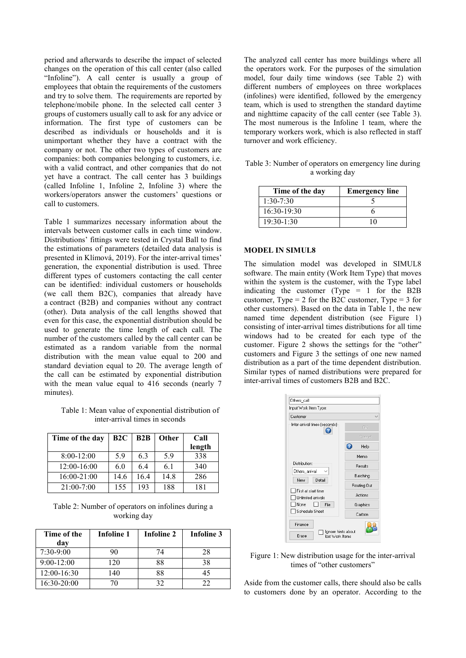period and afterwards to describe the impact of selected changes on the operation of this call center (also called "Infoline"). A call center is usually a group of employees that obtain the requirements of the customers and try to solve them. The requirements are reported by telephone/mobile phone. In the selected call center 3 groups of customers usually call to ask for any advice or information. The first type of customers can be described as individuals or households and it is unimportant whether they have a contract with the company or not. The other two types of customers are companies: both companies belonging to customers, i.e. with a valid contract, and other companies that do not yet have a contract. The call center has 3 buildings (called Infoline 1, Infoline 2, Infoline 3) where the workers/operators answer the customers' questions or call to customers.

Table 1 summarizes necessary information about the intervals between customer calls in each time window. Distributions' fittings were tested in Crystal Ball to find the estimations of parameters (detailed data analysis is presented in Klímová, 2019). For the inter-arrival times' generation, the exponential distribution is used. Three different types of customers contacting the call center can be identified: individual customers or households (we call them B2C), companies that already have a contract (B2B) and companies without any contract (other). Data analysis of the call lengths showed that even for this case, the exponential distribution should be used to generate the time length of each call. The number of the customers called by the call center can be estimated as a random variable from the normal distribution with the mean value equal to 200 and standard deviation equal to 20. The average length of the call can be estimated by exponential distribution with the mean value equal to 416 seconds (nearly 7 minutes).

Table 1: Mean value of exponential distribution of inter-arrival times in seconds

| Time of the day | B2C  | B2B  | Other | Call<br>length |
|-----------------|------|------|-------|----------------|
| 8:00-12:00      | 59   | 6.3  | 5.9   | 338            |
| 12:00-16:00     | 6.0  | 6.4  | 6.1   | 340            |
| 16:00-21:00     | 14.6 | 16.4 | 14.8  | 286            |
| 21:00-7:00      | 155  | 193  | 188   | 181            |

Table 2: Number of operators on infolines during a working day

| Time of the<br>dav | <b>Infoline 1</b> | Infoline 2 | <b>Infoline 3</b> |
|--------------------|-------------------|------------|-------------------|
| $7:30-9:00$        | 90                | 74         | 28                |
| $9:00 - 12:00$     | 120               | 88         | 38                |
| 12:00-16:30        | 140               | 88         |                   |
| 16:30-20:00        |                   | 32         | フフ                |

The analyzed call center has more buildings where all the operators work. For the purposes of the simulation model, four daily time windows (see Table 2) with different numbers of employees on three workplaces (infolines) were identified, followed by the emergency team, which is used to strengthen the standard daytime and nighttime capacity of the call center (see Table 3). The most numerous is the Infoline 1 team, where the temporary workers work, which is also reflected in staff turnover and work efficiency.

Table 3: Number of operators on emergency line during a working day

| Time of the day | <b>Emergency line</b> |
|-----------------|-----------------------|
| $1:30-7:30$     |                       |
| $16:30-19:30$   |                       |
| $19:30-1:30$    |                       |

#### **MODEL IN SIMUL8**

The simulation model was developed in SIMUL8 software. The main entity (Work Item Type) that moves within the system is the customer, with the Type label indicating the customer (Type = 1 for the B2B customer, Type  $= 2$  for the B2C customer, Type  $= 3$  for other customers). Based on the data in Table 1, the new named time dependent distribution (see Figure 1) consisting of inter-arrival times distributions for all time windows had to be created for each type of the customer. Figure 2 shows the settings for the "other" customers and Figure 3 the settings of one new named distribution as a part of the time dependent distribution. Similar types of named distributions were prepared for inter-arrival times of customers B2B and B2C.



Figure 1: New distribution usage for the inter-arrival times of "other customers"

Aside from the customer calls, there should also be calls to customers done by an operator. According to the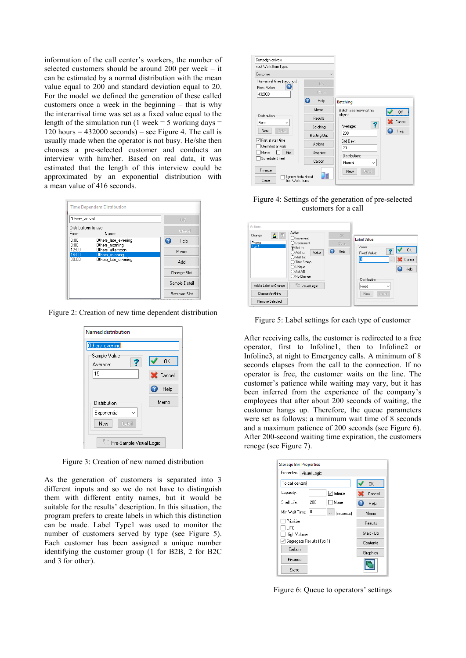information of the call center's workers, the number of selected customers should be around 200 per week – it can be estimated by a normal distribution with the mean value equal to 200 and standard deviation equal to 20. For the model we defined the generation of these called customers once a week in the beginning – that is why the interarrival time was set as a fixed value equal to the length of the simulation run (1 week = 5 working days =  $120$  hours = 432000 seconds) – see Figure 4. The call is usually made when the operator is not busy. He/she then chooses a pre-selected customer and conducts an interview with him/her. Based on real data, it was estimated that the length of this interview could be approximated by an exponential distribution with a mean value of 416 seconds.

| Others arrival                                       |                                       | OK.           |
|------------------------------------------------------|---------------------------------------|---------------|
| Distributions to use:                                |                                       | Cancel        |
| From:                                                | Name:                                 |               |
| 0:00<br>8:00                                         | Others_late_evening<br>Others morning | Ω<br>Help     |
| Others afternoon<br>12:00<br>16:00<br>Others evening |                                       | Memo          |
| 20:00                                                | Others_late_evening                   | Add           |
|                                                      |                                       |               |
|                                                      |                                       | Change Slot   |
|                                                      |                                       | Sample Detail |

Figure 2: Creation of new time dependent distribution

| Named distribution           |        |
|------------------------------|--------|
| Others_evening               |        |
| Sample Value<br>Average:     | 0K     |
| 15                           | Cancel |
|                              | Help   |
| Distribution:                | Memo   |
| Exponential<br>New<br>Detail |        |
| Film Pre-Sample Visual Logic |        |

Figure 3: Creation of new named distribution

As the generation of customers is separated into 3 different inputs and so we do not have to distinguish them with different entity names, but it would be suitable for the results' description. In this situation, the program prefers to create labels in which this distinction can be made. Label Type1 was used to monitor the number of customers served by type (see Figure 5). Each customer has been assigned a unique number identifying the customer group (1 for B2B, 2 for B2C and 3 for other).



Figure 4: Settings of the generation of pre-selected customers for a call

| $\mathbf{B} \parallel \vec{v}$<br>Change:<br>Priorita<br>$ $ Typ 1 | Action<br>$\bigcirc$ Increment<br>◯ Decrement<br><b>●</b> Set to:<br>$\bigcirc$ Add to:<br>Value<br>◯ Mult by:<br>◯ Time Stamp<br>$\bigcirc$ Unique<br>○ Ask VB<br>◯ No Change | OK.<br>Cisse.<br>Help | <b>Label Value</b><br>Value<br><b>OK</b><br>Fixed Value:<br>3<br>Cancel<br>$\cdots$<br>Help<br>Q<br>Distribution: |
|--------------------------------------------------------------------|--------------------------------------------------------------------------------------------------------------------------------------------------------------------------------|-----------------------|-------------------------------------------------------------------------------------------------------------------|
| Add a Label to Change                                              | <b>Em</b> Visual Logic                                                                                                                                                         |                       | Fixed<br>$\checkmark$                                                                                             |
| Change Anything                                                    |                                                                                                                                                                                |                       | Detail<br>New                                                                                                     |
| <b>Remove Selected</b>                                             |                                                                                                                                                                                |                       |                                                                                                                   |

Figure 5: Label settings for each type of customer

After receiving calls, the customer is redirected to a free operator, first to Infoline1, then to Infoline2 or Infoline3, at night to Emergency calls. A minimum of 8 seconds elapses from the call to the connection. If no operator is free, the customer waits on the line. The customer's patience while waiting may vary, but it has been inferred from the experience of the company's employees that after about 200 seconds of waiting, the customer hangs up. Therefore, the queue parameters were set as follows: a minimum wait time of 8 seconds and a maximum patience of 200 seconds (see Figure 6). After 200-second waiting time expiration, the customers renege (see Figure 7).

| <b>Storage Bin Properties</b>      |            |
|------------------------------------|------------|
| Properties<br>Visual Logic         |            |
| To call centers                    | 0K         |
| Capacity:<br>√ Infinite            | Cancel     |
| 200<br>□None<br>Shelf Life:        | Help       |
| 8<br>Min Wait Time:<br>  (seconds) | Memo       |
| Prioritize                         | Results    |
| <b>LIFO</b><br>High Volume         | Start - Up |
| Segregate Results (Typ 1)          | Contents   |
| Carbon                             | Graphics   |
| Finance                            |            |
| Erase                              |            |

Figure 6: Queue to operators' settings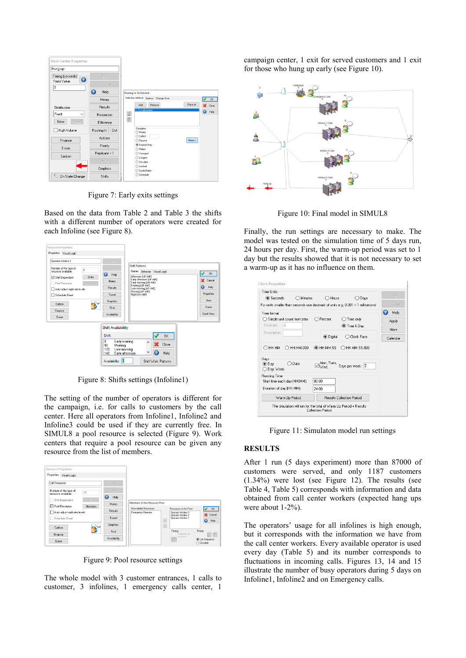

Figure 7: Early exits settings

Based on the data from Table 2 and Table 3 the shifts with a different number of operators were created for each Infoline (see Figure 8).

| <b>Operator Infoline 1</b>                                                                                                                                                                                                | OK.                                                                                                                      |                                                                                                                                                                                                                                                  |                                                                             |
|---------------------------------------------------------------------------------------------------------------------------------------------------------------------------------------------------------------------------|--------------------------------------------------------------------------------------------------------------------------|--------------------------------------------------------------------------------------------------------------------------------------------------------------------------------------------------------------------------------------------------|-----------------------------------------------------------------------------|
| Number of this type of<br>$\overline{0}$<br>resource available:<br><b>Shifts</b><br>□ Shift Dependent<br>Pool Resource<br>Members.<br>Auto adjust replicate levels<br><b>Schedule Sheet</b><br>Carbon<br>Finance<br>Erase | <b>Close</b><br>$\bullet$<br>Help<br>Memo<br>Results<br>Travel<br>Graphics<br>Find<br>Availability                       | <b>Shift Patterns</b><br><b>Names</b><br>Behavior Visual Logic<br>Afternoon [off shift]<br>Early afternoon [off shift]<br>Early moming [off shift]<br>Evening [off shift]<br>Late morning [off shift]<br>Morning [off shift]<br>Night [on shift] | <b>OK</b><br>Cancel<br>Heb<br>Q<br>Properties<br>New<br>Erase<br>Gantt View |
|                                                                                                                                                                                                                           | <b>Shift Availability</b>                                                                                                |                                                                                                                                                                                                                                                  |                                                                             |
|                                                                                                                                                                                                                           | Shift:<br>n<br>Early morning<br>90<br>Morning<br>120<br>Late morning<br>140<br>Early afternoon<br>Availability: <b>1</b> | 0K<br>$\land$<br>Close<br>v<br>7<br>Help<br>Shift Work Patterns                                                                                                                                                                                  |                                                                             |

Figure 8: Shifts settings (Infoline1)

The setting of the number of operators is different for the campaign, i.e. for calls to customers by the call center. Here all operators from Infoline1, Infoline2 and Infoline3 could be used if they are currently free. In SIMUL8 a pool resource is selected (Figure 9). Work centers that require a pool resource can be given any resource from the list of members.

| Properties<br>Visual Logic                    |          |                                  |                                               |                                                    |                                               |
|-----------------------------------------------|----------|----------------------------------|-----------------------------------------------|----------------------------------------------------|-----------------------------------------------|
| Call Resource                                 |          | GK.                              |                                               |                                                    |                                               |
| Number of this type of<br>resource available: | 10       | <b>Disse</b>                     |                                               |                                                    |                                               |
| Shift Dependent                               | SFifts:  | $\boldsymbol{\varOmega}$<br>Help |                                               |                                                    |                                               |
| <b>□</b> Pool Resource                        | Members. | Memo                             | Members of this Resource Pool                 |                                                    |                                               |
| Auto adjust replicate levels                  |          | <b>Results</b>                   | All available Resources<br>Emergency Operator | Besources in this Pool<br>Operator Infoline 3      |                                               |
| Schedule Sheet                                |          | Travel                           |                                               | Operator Infoline 2<br>Operator Infoline 1<br>$\,$ | ×.<br>ര                                       |
| Cathon                                        | Set.     | Graphics                         |                                               | $\hat{<}$                                          |                                               |
|                                               |          | Find                             |                                               | Timing                                             | Priority                                      |
| Finance                                       |          | Availability                     |                                               | Depends on<br>resource.                            |                                               |
| Erase                                         |          |                                  |                                               | G                                                  | <b>O</b> List Sequence<br>$\bigcap$ Circulate |

Figure 9: Pool resource settings

The whole model with 3 customer entrances, 1 calls to customer, 3 infolines, 1 emergency calls center, 1 campaign center, 1 exit for served customers and 1 exit for those who hung up early (see Figure 10).



Figure 10: Final model in SIMUL8

Finally, the run settings are necessary to make. The model was tested on the simulation time of 5 days run, 24 hours per day. First, the warm-up period was set to 1 day but the results showed that it is not necessary to set a warm-up as it has no influence on them.

| <b>Clock Properties</b>                                        |                                                                                        |                            |
|----------------------------------------------------------------|----------------------------------------------------------------------------------------|----------------------------|
| Time Units<br>◉ Seconds<br>$\bigcap$ Minutes                   | $\bigcap$ Hours<br>$\supset$ Days                                                      | OK.                        |
|                                                                | For units smaller than seconds use decimals of units e.g. 0.001 = 1 millisecond        | Clase                      |
| Time format<br>◯ Simple unit count from zero<br>Decimals:<br>n | Percent<br>Time only<br>to Time & Day                                                  | œ<br>Help<br>Apply<br>More |
| Description:                                                   | <b>◎</b> Digital<br>Clock Face                                                         | Calendar                   |
| ) HH:MM<br>HH:MM.000                                           | O HH:MM:SS<br>HH:MM:SS.000                                                             |                            |
| Days<br>$\n  0$ Date<br>$①$ Day<br>◯ Day, Week                 | Mon, Tues,<br>Wealth Days per week: 5                                                  |                            |
| Running Time<br>Start time each day (HH:MM):                   | nn nn                                                                                  |                            |
| Duration of day (HH:MM):                                       | 24:00                                                                                  |                            |
| Warm Up Period                                                 | <b>Besults Collection Period</b>                                                       |                            |
|                                                                | The simulation will run for the total of Warm Up Period + Results<br>Collection Period |                            |

Figure 11: Simulaton model run settings

# **RESULTS**

After 1 run (5 days experiment) more than 87000 of customers were served, and only 1187 customers (1.34%) were lost (see Figure 12). The results (see Table 4, Table 5) corresponds with information and data obtained from call center workers (expected hang ups were about 1-2%).

The operators' usage for all infolines is high enough, but it corresponds with the information we have from the call center workers. Every available operator is used every day (Table 5) and its number corresponds to fluctuations in incoming calls. Figures 13, 14 and 15 illustrate the number of busy operators during 5 days on Infoline1, Infoline2 and on Emergency calls.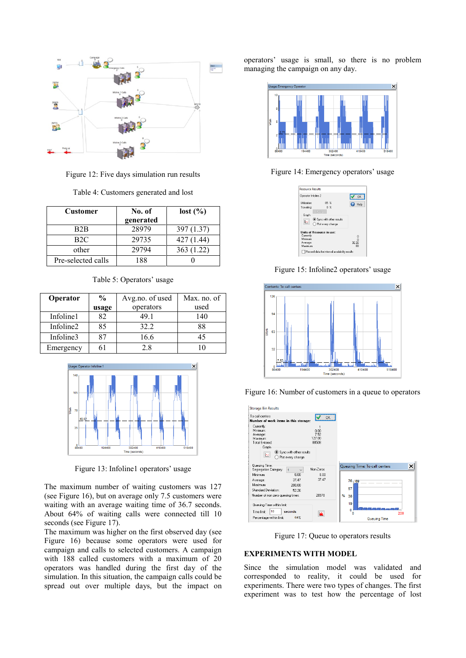

Figure 12: Five days simulation run results

| <b>Customer</b>    | No. of    | lost (%)  |
|--------------------|-----------|-----------|
|                    | generated |           |
| B <sub>2</sub> B   | 28979     | 397(1.37) |
| B2C                | 29735     | 427(1.44) |
| other              | 29794     | 363(1.22) |
| Pre-selected calls | 188       |           |

Table 5: Operators' usage

| Operator  | $\frac{6}{9}$ | Avg.no. of used | Max. no. of |
|-----------|---------------|-----------------|-------------|
|           | usage         | operators       | used        |
| Infoline1 | 82            | 49 1            | 140         |
| Infoline2 | 85            | 32.2            | 88          |
| Infoline3 | 87            | 16.6            |             |
| Emergency |               | 28              |             |



Figure 13: Infoline1 operators' usage

The maximum number of waiting customers was 127 (see Figure 16), but on average only 7.5 customers were waiting with an average waiting time of 36.7 seconds. About 64% of waiting calls were connected till 10 seconds (see Figure 17).

The maximum was higher on the first observed day (see Figure 16) because some operators were used for campaign and calls to selected customers. A campaign with 188 called customers with a maximum of 20 operators was handled during the first day of the simulation. In this situation, the campaign calls could be spread out over multiple days, but the impact on operators' usage is small, so there is no problem managing the campaign on any day.



Figure 14: Emergency operators' usage

| <b>Resource Results</b>                |                       |
|----------------------------------------|-----------------------|
| Operator Infoline 2                    | <b>n</b> <sub>K</sub> |
| Utilization:<br>$85 \times$            | Help                  |
| 0 <sup>2</sup><br>Traveling:<br>Detail |                       |
| Graph                                  |                       |
| Sync with other results<br>$\sim$      |                       |
| ◯ Plot every change                    |                       |
| <b>Units of Resource in use:</b>       |                       |
| Currently:                             | n                     |
| Mininum                                |                       |
| Average:                               | 32.26                 |
| Maximum                                | 88                    |

Figure 15: Infoline2 operators' usage



Figure 16: Number of customers in a queue to operators

| <b>Storage Bin Results</b>                                                                                                                                                                                                                     |                                                              |
|------------------------------------------------------------------------------------------------------------------------------------------------------------------------------------------------------------------------------------------------|--------------------------------------------------------------|
| To call centers<br>Number of work items in this storage:                                                                                                                                                                                       | 0K                                                           |
| Currently:<br>1<br>Minimum<br>0.00<br>7.52<br>Average:<br>127.00<br>Maximum:<br><b>Total Entered:</b><br>88508<br>Graph<br>Sunc with other results<br>$\overline{\sim}$<br>Plot every change                                                   |                                                              |
| Queuing Time:<br>Non-Zeros<br>Segregation Category:<br>$\blacktriangleleft$<br>800<br>Minimum<br>8.00<br>37.47<br>37.47<br>Average:<br>Maximum:<br>200.00<br><b>Standard Deviation:</b><br>52.26<br>28978<br>Number of non zero queuing times: | ×<br>Queuing Time: To call centers<br>76 69<br>57<br>%<br>38 |
| Queuing Time within limit:<br>10<br>Time limit:<br>seconds<br>ш<br>64%<br>Percentage within limit:                                                                                                                                             | 19<br>Ō<br>200<br>n<br>Queuing Time                          |

Figure 17: Queue to operators results

# **EXPERIMENTS WITH MODEL**

Since the simulation model was validated and corresponded to reality, it could be used for experiments. There were two types of changes. The first experiment was to test how the percentage of lost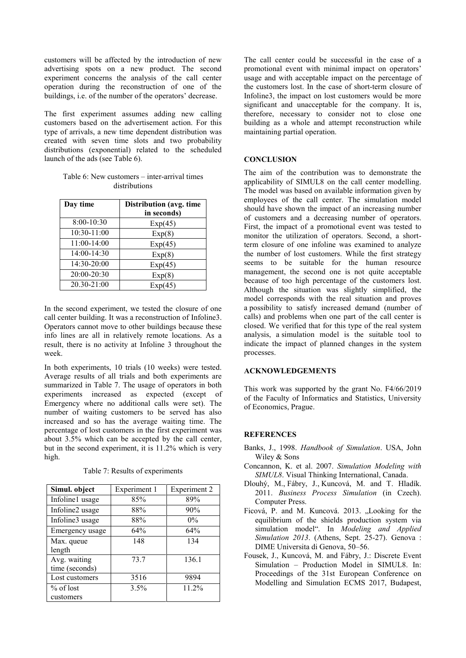customers will be affected by the introduction of new advertising spots on a new product. The second experiment concerns the analysis of the call center operation during the reconstruction of one of the buildings, i.e. of the number of the operators' decrease.

The first experiment assumes adding new calling customers based on the advertisement action. For this type of arrivals, a new time dependent distribution was created with seven time slots and two probability distributions (exponential) related to the scheduled launch of the ads (see Table 6).

| Table 6: New customers – inter-arrival times |  |  |  |  |
|----------------------------------------------|--|--|--|--|
| distributions                                |  |  |  |  |

| Day time    | Distribution (avg. time<br>in seconds) |  |
|-------------|----------------------------------------|--|
| 8:00-10:30  | Exp(45)                                |  |
| 10:30-11:00 | Exp(8)                                 |  |
| 11:00-14:00 | Exp(45)                                |  |
| 14:00-14:30 | Exp(8)                                 |  |
| 14:30-20:00 | Exp(45)                                |  |
| 20:00-20:30 | Exp(8)                                 |  |
| 20.30-21:00 | Exp(45)                                |  |

In the second experiment, we tested the closure of one call center building. It was a reconstruction of Infoline3. Operators cannot move to other buildings because these info lines are all in relatively remote locations. As a result, there is no activity at Infoline 3 throughout the week.

In both experiments, 10 trials (10 weeks) were tested. Average results of all trials and both experiments are summarized in Table 7. The usage of operators in both experiments increased as expected (except of Emergency where no additional calls were set). The number of waiting customers to be served has also increased and so has the average waiting time. The percentage of lost customers in the first experiment was about 3.5% which can be accepted by the call center, but in the second experiment, it is 11.2% which is very high.

Table 7: Results of experiments

| Simul. object   | Experiment 1 | Experiment 2 |
|-----------------|--------------|--------------|
| Infoline1 usage | 85%          | 89%          |
| Infoline2 usage | 88%          | 90%          |
| Infoline3 usage | 88%          | $0\%$        |
| Emergency usage | 64%          | 64%          |
| Max. queue      | 148          | 134          |
| length          |              |              |
| Avg. waiting    | 73.7         | 136.1        |
| time (seconds)  |              |              |
| Lost customers  | 3516         | 9894         |
| $%$ of lost     | 3.5%         | 11.2%        |
| customers       |              |              |

The call center could be successful in the case of a promotional event with minimal impact on operators' usage and with acceptable impact on the percentage of the customers lost. In the case of short-term closure of Infoline3, the impact on lost customers would be more significant and unacceptable for the company. It is, therefore, necessary to consider not to close one building as a whole and attempt reconstruction while maintaining partial operation.

# **CONCLUSION**

The aim of the contribution was to demonstrate the applicability of SIMUL8 on the call center modelling. The model was based on available information given by employees of the call center. The simulation model should have shown the impact of an increasing number of customers and a decreasing number of operators. First, the impact of a promotional event was tested to monitor the utilization of operators. Second, a shortterm closure of one infoline was examined to analyze the number of lost customers. While the first strategy seems to be suitable for the human resource management, the second one is not quite acceptable because of too high percentage of the customers lost. Although the situation was slightly simplified, the model corresponds with the real situation and proves a possibility to satisfy increased demand (number of calls) and problems when one part of the call center is closed. We verified that for this type of the real system analysis, a simulation model is the suitable tool to indicate the impact of planned changes in the system processes.

#### **ACKNOWLEDGEMENTS**

This work was supported by the grant No. F4/66/2019 of the Faculty of Informatics and Statistics, University of Economics, Prague.

#### **REFERENCES**

- Banks, J., 1998. *Handbook of Simulation*. USA, John Wiley & Sons
- Concannon, K. et al. 2007. *Simulation Modeling with SIMUL8*. Visual Thinking International, Canada.
- [Dlouhý, M.](http://eso.vse.cz/~sklenak/pcvse/pcvse-sfx.php?krestni=Martin&prijmeni=Dlouh%FD&katedra=KEKO), [Fábry, J.](http://eso.vse.cz/~sklenak/pcvse/pcvse-sfx.php?krestni=Jan&prijmeni=F%E1bry&katedra=KEKO), [Kuncová, M.](http://eso.vse.cz/~sklenak/pcvse/pcvse-sfx.php?krestni=Martina&prijmeni=Kuncov%E1&katedra=KEKO) and T. Hladík. 2011. *Business Process Simulation* (in Czech). Computer Press.
- Ficová, P. and M. Kuncová, 2013. "Looking for the equilibrium of the shields production system via simulation model". In *Modeling and Applied Simulation 2013*. (Athens, Sept. 25-27). Genova : DIME Universita di Genova, 50–56.
- Fousek, J., Kuncová, M. and Fábry, J.: Discrete Event Simulation – Production Model in SIMUL8. In: Proceedings of the 31st European Conference on Modelling and Simulation ECMS 2017, Budapest,